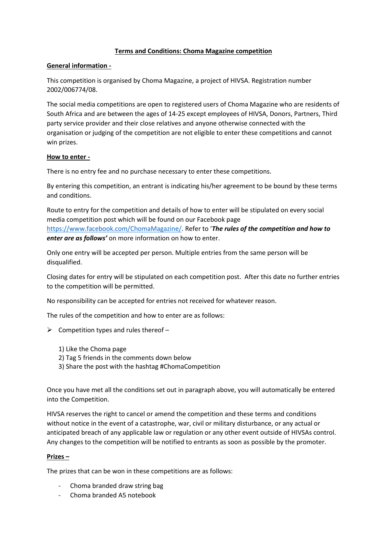# **Terms and Conditions: Choma Magazine competition**

### **General information -**

This competition is organised by Choma Magazine, a project of HIVSA. Registration number 2002/006774/08.

The social media competitions are open to registered users of Choma Magazine who are residents of South Africa and are between the ages of 14-25 except employees of HIVSA, Donors, Partners, Third party service provider and their close relatives and anyone otherwise connected with the organisation or judging of the competition are not eligible to enter these competitions and cannot win prizes.

# **How to enter -**

There is no entry fee and no purchase necessary to enter these competitions.

By entering this competition, an entrant is indicating his/her agreement to be bound by these terms and conditions.

Route to entry for the competition and details of how to enter will be stipulated on every social media competition post which will be found on our Facebook page <https://www.facebook.com/ChomaMagazine/>. Refer to '*The rules of the competition and how to enter are as follows'* on more information on how to enter.

Only one entry will be accepted per person. Multiple entries from the same person will be disqualified.

Closing dates for entry will be stipulated on each competition post. After this date no further entries to the competition will be permitted.

No responsibility can be accepted for entries not received for whatever reason.

The rules of the competition and how to enter are as follows:

- $\triangleright$  Competition types and rules thereof
	- 1) Like the Choma page
	- 2) Tag 5 friends in the comments down below
	- 3) Share the post with the hashtag #ChomaCompetition

Once you have met all the conditions set out in paragraph above, you will automatically be entered into the Competition.

HIVSA reserves the right to cancel or amend the competition and these terms and conditions without notice in the event of a catastrophe, war, civil or military disturbance, or any actual or anticipated breach of any applicable law or regulation or any other event outside of HIVSAs control. Any changes to the competition will be notified to entrants as soon as possible by the promoter.

#### **Prizes –**

The prizes that can be won in these competitions are as follows:

- Choma branded draw string bag
- Choma branded A5 notebook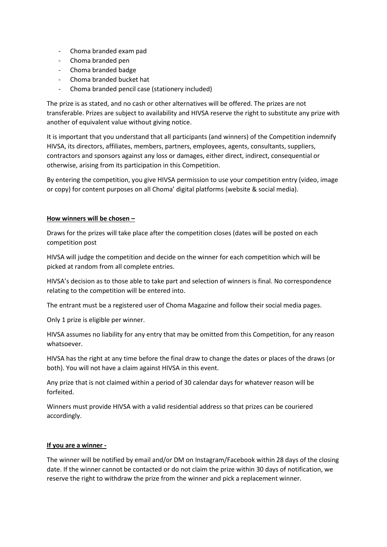- Choma branded exam pad
- Choma branded pen
- Choma branded badge
- Choma branded bucket hat
- Choma branded pencil case (stationery included)

The prize is as stated, and no cash or other alternatives will be offered. The prizes are not transferable. Prizes are subject to availability and HIVSA reserve the right to substitute any prize with another of equivalent value without giving notice.

It is important that you understand that all participants (and winners) of the Competition indemnify HIVSA, its directors, affiliates, members, partners, employees, agents, consultants, suppliers, contractors and sponsors against any loss or damages, either direct, indirect, consequential or otherwise, arising from its participation in this Competition.

By entering the competition, you give HIVSA permission to use your competition entry (video, image or copy) for content purposes on all Choma' digital platforms (website & social media).

#### **How winners will be chosen –**

Draws for the prizes will take place after the competition closes (dates will be posted on each competition post

HIVSA will judge the competition and decide on the winner for each competition which will be picked at random from all complete entries.

HIVSA's decision as to those able to take part and selection of winners is final. No correspondence relating to the competition will be entered into.

The entrant must be a registered user of Choma Magazine and follow their social media pages.

Only 1 prize is eligible per winner.

HIVSA assumes no liability for any entry that may be omitted from this Competition, for any reason whatsoever.

HIVSA has the right at any time before the final draw to change the dates or places of the draws (or both). You will not have a claim against HIVSA in this event.

Any prize that is not claimed within a period of 30 calendar days for whatever reason will be forfeited.

Winners must provide HIVSA with a valid residential address so that prizes can be couriered accordingly.

#### **If you are a winner -**

The winner will be notified by email and/or DM on Instagram/Facebook within 28 days of the closing date. If the winner cannot be contacted or do not claim the prize within 30 days of notification, we reserve the right to withdraw the prize from the winner and pick a replacement winner.